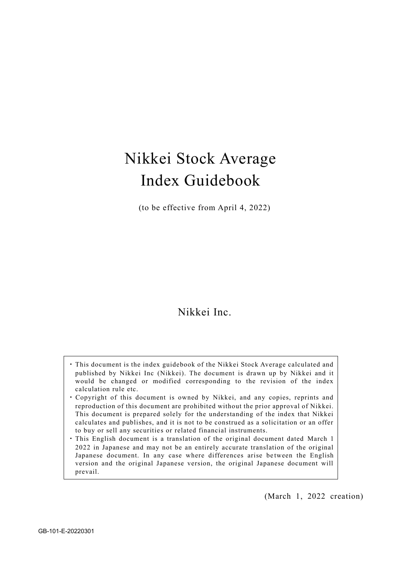# Nikkei Stock Average Index Guidebook

(to be effective from April 4, 2022)

# Nikkei Inc.

- ・This document is the index guidebook of the Nikkei Stock Average calculated and published by Nikkei Inc (Nikkei). The document is drawn up by Nikkei and it would be changed or modified corresponding to the revision of the index calculation rule etc.
- ・ Copyright of this document is owned by Nikkei, and any copies, reprints and reproduction of this document are prohibited without the prior approval of Nikkei. This document is prepared solely for the understanding of the index that Nikkei calculates and publishes, and it is not to be construed as a solicitation or an offer to buy or sell any securities or related financial instruments.
- ・This English document is a translation of the original document dated March 1 2022 in Japanese and may not be an entirely accurate translation of the original Japanese document. In any case where differences arise between the English version and the original Japanese version, the original Japanese document will prevail.

(March 1, 2022 creation)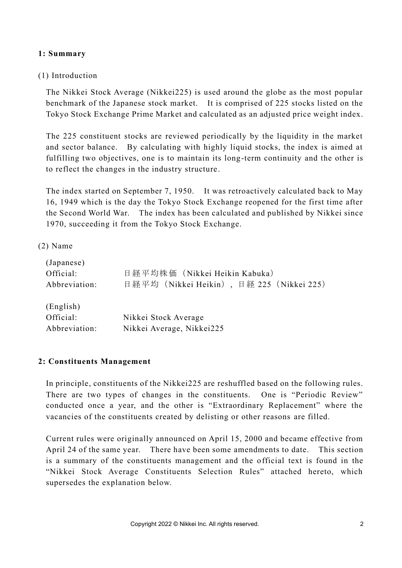#### **1: Summary**

#### (1) Introduction

The Nikkei Stock Average (Nikkei225) is used around the globe as the most popular benchmark of the Japanese stock market. It is comprised of 225 stocks listed on the Tokyo Stock Exchange Prime Market and calculated as an adjusted price weight index.

The 225 constituent stocks are reviewed periodically by the liquidity in the market and sector balance. By calculating with highly liquid stocks, the index is aimed at fulfilling two objectives, one is to maintain its long-term continuity and the other is to reflect the changes in the industry structure.

The index started on September 7, 1950. It was retroactively calculated back to May 16, 1949 which is the day the Tokyo Stock Exchange reopened for the first time after the Second World War. The index has been calculated and published by Nikkei since 1970, succeeding it from the Tokyo Stock Exchange.

#### (2) Name

| (Japanese)<br>Official:<br>Abbreviation: | 日経平均株価 (Nikkei Heikin Kabuka)<br>日経平均 (Nikkei Heikin), 日経 225 (Nikkei 225) |
|------------------------------------------|----------------------------------------------------------------------------|
| (English)<br>Official:<br>Abbreviation:  | Nikkei Stock Average<br>Nikkei Average, Nikkei225                          |

#### **2: Constituents Management**

In principle, constituents of the Nikkei225 are reshuffled based on the following rules. There are two types of changes in the constituents. One is "Periodic Review" conducted once a year, and the other is "Extraordinary Replacement" where the vacancies of the constituents created by delisting or other reasons are filled.

Current rules were originally announced on April 15, 2000 and became effective from April 24 of the same year. There have been some amendments to date. This section is a summary of the constituents management and the official text is found in the "Nikkei Stock Average Constituents Selection Rules" attached hereto, which supersedes the explanation below.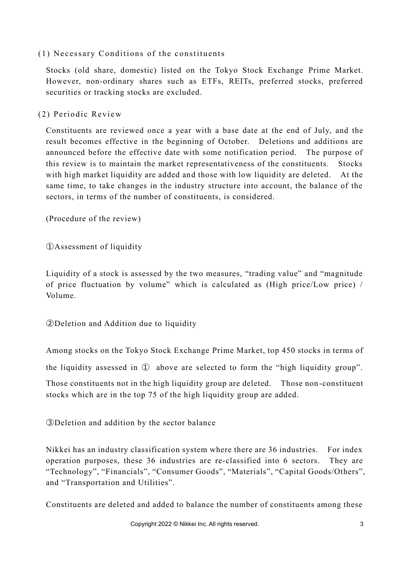## $(1)$  Necessary Conditions of the constituents

Stocks (old share, domestic) listed on the Tokyo Stock Exchange Prime Market. However, non-ordinary shares such as ETFs, REITs, preferred stocks, preferred securities or tracking stocks are excluded.

(2) Periodic Review

Constituents are reviewed once a year with a base date at the end of July, and the result becomes effective in the beginning of October. Deletions and additions are announced before the effective date with some notification period. The purpose of this review is to maintain the market representativeness of the constituents. Stocks with high market liquidity are added and those with low liquidity are deleted. At the same time, to take changes in the industry structure into account, the balance of the sectors, in terms of the number of constituents, is considered.

(Procedure of the review)

①Assessment of liquidity

Liquidity of a stock is assessed by the two measures, "trading value" and "magnitude of price fluctuation by volume" which is calculated as (High price/Low price) / Volume.

②Deletion and Addition due to liquidity

Among stocks on the Tokyo Stock Exchange Prime Market, top 450 stocks in terms of

the liquidity assessed in ① above are selected to form the "high liquidity group".

Those constituents not in the high liquidity group are deleted. Those non -constituent stocks which are in the top 75 of the high liquidity group are added.

③Deletion and addition by the sector balance

Nikkei has an industry classification system where there are 36 industries. For index operation purposes, these 36 industries are re-classified into 6 sectors. They are "Technology", "Financials", "Consumer Goods", "Materials", "Capital Goods/Others", and "Transportation and Utilities".

Constituents are deleted and added to balance the number of constituents among these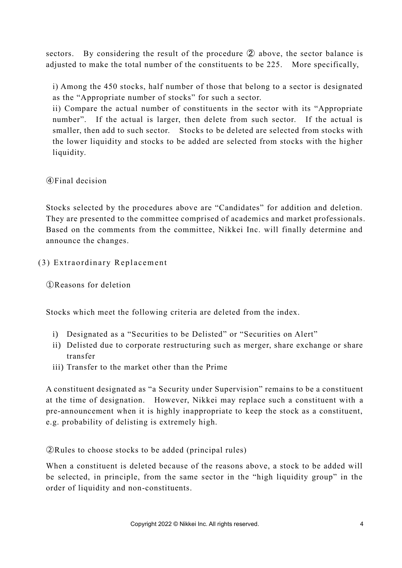sectors. By considering the result of the procedure ② above, the sector balance is adjusted to make the total number of the constituents to be 225. More specifically,

i) Among the 450 stocks, half number of those that belong to a sector is designated as the "Appropriate number of stocks" for such a sector.

ii) Compare the actual number of constituents in the sector with its "Appropriate number". If the actual is larger, then delete from such sector. If the actual is smaller, then add to such sector. Stocks to be deleted are selected from stocks with the lower liquidity and stocks to be added are selected from stocks with the higher liquidity.

④Final decision

Stocks selected by the procedures above are "Candidates" for addition and deletion. They are presented to the committee comprised of academics and market professionals. Based on the comments from the committee, Nikkei Inc. will finally determine and announce the changes.

## (3) Extraordinary Replacement

①Reasons for deletion

Stocks which meet the following criteria are deleted from the index.

- i) Designated as a "Securities to be Delisted" or "Securities on Alert"
- ii) Delisted due to corporate restructuring such as merger, share exchange or share transfer
- iii) Transfer to the market other than the Prime

A constituent designated as "a Security under Supervision" remains to be a constituent at the time of designation. However, Nikkei may replace such a constituent with a pre-announcement when it is highly inappropriate to keep the stock as a constituent, e.g. probability of delisting is extremely high.

②Rules to choose stocks to be added (principal rules)

When a constituent is deleted because of the reasons above, a stock to be added will be selected, in principle, from the same sector in the "high liquidity group" in the order of liquidity and non-constituents.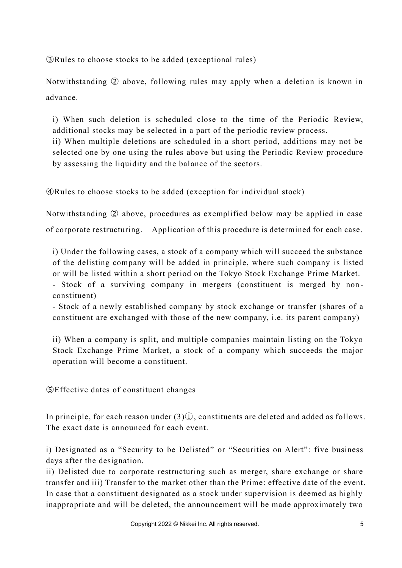③Rules to choose stocks to be added (exceptional rules)

Notwithstanding ② above, following rules may apply when a deletion is known in advance.

i) When such deletion is scheduled close to the time of the Periodic Review, additional stocks may be selected in a part of the periodic review process. ii) When multiple deletions are scheduled in a short period, additions may not be selected one by one using the rules above but using the Periodic Review procedure

by assessing the liquidity and the balance of the sectors.

④Rules to choose stocks to be added (exception for individual stock)

Notwithstanding ② above, procedures as exemplified below may be applied in case of corporate restructuring. Application of this procedure is determined for each case.

i) Under the following cases, a stock of a company which will succeed the substance of the delisting company will be added in principle, where such company is listed or will be listed within a short period on the Tokyo Stock Exchange Prime Market.

- Stock of a surviving company in mergers (constituent is merged by nonconstituent)

- Stock of a newly established company by stock exchange or transfer (shares of a constituent are exchanged with those of the new company, i.e. its parent company)

ii) When a company is split, and multiple companies maintain listing on the Tokyo Stock Exchange Prime Market, a stock of a company which succeeds the major operation will become a constituent.

⑤Effective dates of constituent changes

In principle, for each reason under (3)①, constituents are deleted and added as follows. The exact date is announced for each event.

i) Designated as a "Security to be Delisted" or "Securities on Alert": five business days after the designation.

ii) Delisted due to corporate restructuring such as merger, share exchange or share transfer and iii) Transfer to the market other than the Prime: effective date of the event. In case that a constituent designated as a stock under supervision is deemed as highly inappropriate and will be deleted, the announcement will be made approximately two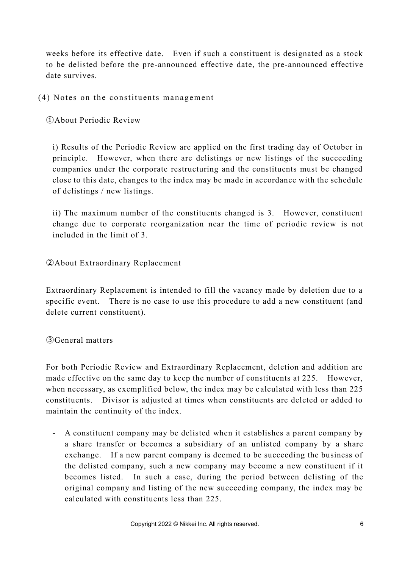weeks before its effective date. Even if such a constituent is designated as a stock to be delisted before the pre-announced effective date, the pre-announced effective date survives.

 $(4)$  Notes on the constituents management

①About Periodic Review

i) Results of the Periodic Review are applied on the first trading day of October in principle. However, when there are delistings or new listings of the succeeding companies under the corporate restructuring and the constituents must be changed close to this date, changes to the index may be made in accordance with the schedule of delistings / new listings.

ii) The maximum number of the constituents changed is 3. However, constituent change due to corporate reorganization near the time of periodic review is not included in the limit of 3.

#### ②About Extraordinary Replacement

Extraordinary Replacement is intended to fill the vacancy made by deletion due to a specific event. There is no case to use this procedure to add a new constituent (and delete current constituent).

③General matters

For both Periodic Review and Extraordinary Replacement, deletion and addition are made effective on the same day to keep the number of constituents at 225. However, when necessary, as exemplified below, the index may be calculated with less than 225 constituents. Divisor is adjusted at times when constituents are deleted or added to maintain the continuity of the index.

- A constituent company may be delisted when it establishes a parent company by a share transfer or becomes a subsidiary of an unlisted company by a share exchange. If a new parent company is deemed to be succeeding the business of the delisted company, such a new company may become a new constituent if it becomes listed. In such a case, during the period between delisting of the original company and listing of the new succeeding company, the index may be calculated with constituents less than 225.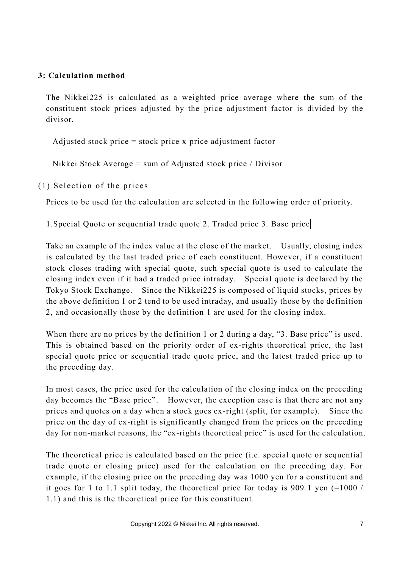#### **3: Calculation method**

The Nikkei225 is calculated as a weighted price average where the sum of the constituent stock prices adjusted by the price adjustment factor is divided by the divisor.

Adjusted stock price = stock price x price adjustment factor

Nikkei Stock Average = sum of Adjusted stock price / Divisor

 $(1)$  Selection of the prices

Prices to be used for the calculation are selected in the following order of priority.

#### 1.Special Quote or sequential trade quote 2. Traded price 3. Base price

Take an example of the index value at the close of the market. Usually, closing index is calculated by the last traded price of each constituent. However, if a constituent stock closes trading with special quote, such special quote is used to calculate the closing index even if it had a traded price intraday. Special quote is declared by the Tokyo Stock Exchange. Since the Nikkei225 is composed of liquid stocks, prices by the above definition 1 or 2 tend to be used intraday, and usually those by the definition 2, and occasionally those by the definition 1 are used for the closing index.

When there are no prices by the definition 1 or 2 during a day, "3. Base price" is used. This is obtained based on the priority order of ex-rights theoretical price, the last special quote price or sequential trade quote price, and the latest traded price up to the preceding day.

In most cases, the price used for the calculation of the closing index on the preceding day becomes the "Base price". However, the exception case is that there are not any prices and quotes on a day when a stock goes ex-right (split, for example). Since the price on the day of ex-right is significantly changed from the prices on the preceding day for non-market reasons, the "ex-rights theoretical price" is used for the calculation.

The theoretical price is calculated based on the price (i.e. special quote or sequential trade quote or closing price) used for the calculation on the preceding day. For example, if the closing price on the preceding day was 1000 yen for a constituent and it goes for 1 to 1.1 split today, the theoretical price for today is 909.1 yen (=1000 / 1.1) and this is the theoretical price for this constituent.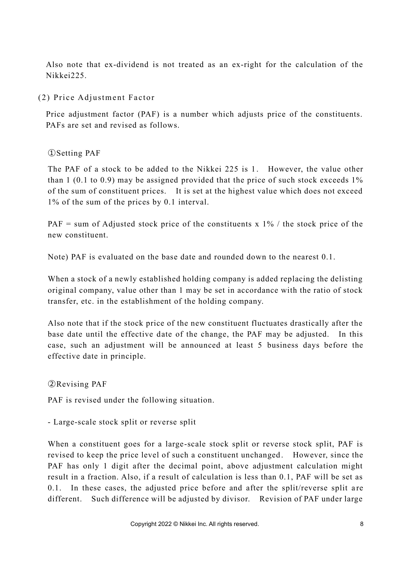Also note that ex-dividend is not treated as an ex-right for the calculation of the Nikkei225.

(2) Price Adjustment Factor

Price adjustment factor (PAF) is a number which adjusts price of the constituents. PAFs are set and revised as follows.

①Setting PAF

The PAF of a stock to be added to the Nikkei 225 is 1. However, the value other than 1 (0.1 to 0.9) may be assigned provided that the price of such stock exceeds 1% of the sum of constituent prices. It is set at the highest value which does not exceed 1% of the sum of the prices by 0.1 interval.

PAF = sum of Adjusted stock price of the constituents x  $1\%$  / the stock price of the new constituent.

Note) PAF is evaluated on the base date and rounded down to the nearest 0.1.

When a stock of a newly established holding company is added replacing the delisting original company, value other than 1 may be set in accordance with the ratio of stock transfer, etc. in the establishment of the holding company.

Also note that if the stock price of the new constituent fluctuates drastically after the base date until the effective date of the change, the PAF may be adjusted. In this case, such an adjustment will be announced at least 5 business days before the effective date in principle.

②Revising PAF

PAF is revised under the following situation.

- Large-scale stock split or reverse split

When a constituent goes for a large-scale stock split or reverse stock split, PAF is revised to keep the price level of such a constituent unchanged . However, since the PAF has only 1 digit after the decimal point, above adjustment calculation might result in a fraction. Also, if a result of calculation is less than 0.1, PAF will be set as 0.1. In these cases, the adjusted price before and after the split/reverse split a re different. Such difference will be adjusted by divisor. Revision of PAF under large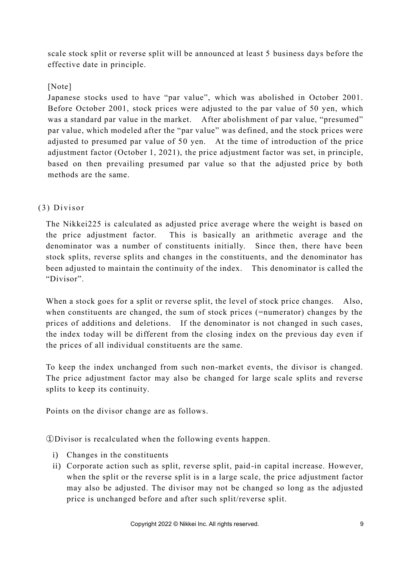scale stock split or reverse split will be announced at least 5 business days before the effective date in principle.

# [Note]

Japanese stocks used to have "par value", which was abolished in October 2001. Before October 2001, stock prices were adjusted to the par value of 50 yen, which was a standard par value in the market. After abolishment of par value, "presumed" par value, which modeled after the "par value" was defined, and the stock prices were adjusted to presumed par value of 50 yen. At the time of introduction of the price adjustment factor (October 1, 2021), the price adjustment factor was set, in principle, based on then prevailing presumed par value so that the adjusted price by both methods are the same.

# (3) Di viso r

The Nikkei225 is calculated as adjusted price average where the weight is based on the price adjustment factor. This is basically an arithmetic average and the denominator was a number of constituents initially. Since then, there have been stock splits, reverse splits and changes in the constituents, and the denominator has been adjusted to maintain the continuity of the index. This denominator is called the "Divisor".

When a stock goes for a split or reverse split, the level of stock price changes. Also, when constituents are changed, the sum of stock prices (=numerator) changes by the prices of additions and deletions. If the denominator is not changed in such cases, the index today will be different from the closing index on the previous day even if the prices of all individual constituents are the same.

To keep the index unchanged from such non-market events, the divisor is changed. The price adjustment factor may also be changed for large scale splits and reverse splits to keep its continuity.

Points on the divisor change are as follows.

①Divisor is recalculated when the following events happen.

- i) Changes in the constituents
- ii) Corporate action such as split, reverse split, paid-in capital increase. However, when the split or the reverse split is in a large scale, the price adjustment factor may also be adjusted. The divisor may not be changed so long as the adjusted price is unchanged before and after such split/reverse split.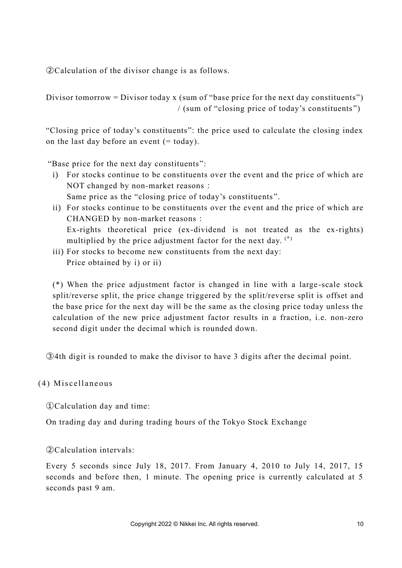②Calculation of the divisor change is as follows.

Divisor tomorrow = Divisor today x (sum of "base price for the next day constituents") / (sum of "closing price of today's constituents ")

"Closing price of today's constituents": the price used to calculate the closing index on the last day before an event  $(= today)$ .

"Base price for the next day constituents":

- i) For stocks continue to be constituents over the event and the price of which are NOT changed by non-market reasons: Same price as the "closing price of today's constituents ".
- ii) For stocks continue to be constituents over the event and the price of which are CHANGED by non-market reasons: Ex-rights theoretical price (ex-dividend is not treated as the ex-rights) multiplied by the price adjustment factor for the next day.  $(*)$
- iii) For stocks to become new constituents from the next day: Price obtained by i) or ii)

(\*) When the price adjustment factor is changed in line with a large -scale stock split/reverse split, the price change triggered by the split/reverse split is offset and the base price for the next day will be the same as the closing price today unless the calculation of the new price adjustment factor results in a fraction, i.e. non-zero second digit under the decimal which is rounded down.

③4th digit is rounded to make the divisor to have 3 digits after the decimal point.

#### (4) Miscellaneous

①Calculation day and time:

On trading day and during trading hours of the Tokyo Stock Exchange

②Calculation intervals:

Every 5 seconds since July 18, 2017. From January 4, 2010 to July 14, 2017, 15 seconds and before then, 1 minute. The opening price is currently calculated at 5 seconds past 9 am.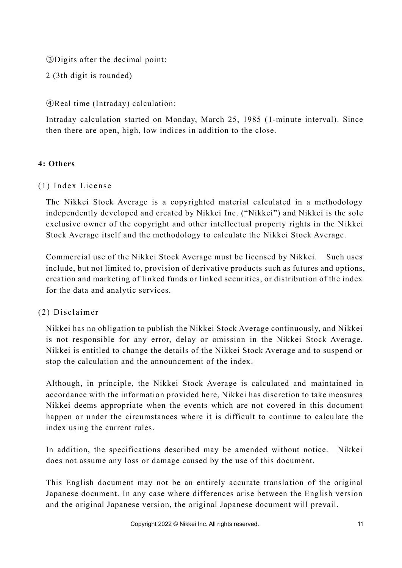③Digits after the decimal point:

2 (3th digit is rounded)

④Real time (Intraday) calculation:

Intraday calculation started on Monday, March 25, 1985 (1-minute interval). Since then there are open, high, low indices in addition to the close.

#### **4: Others**

(1) Index License

The Nikkei Stock Average is a copyrighted material calculated in a methodology independently developed and created by Nikkei Inc. ("Nikkei") and Nikkei is the sole exclusive owner of the copyright and other intellectual property rights in the Nikkei Stock Average itself and the methodology to calculate the Nikkei Stock Average.

Commercial use of the Nikkei Stock Average must be licensed by Nikkei. Such uses include, but not limited to, provision of derivative products such as futures and options, creation and marketing of linked funds or linked securities, or distribution of the index for the data and analytic services.

#### (2) Di scl aim er

Nikkei has no obligation to publish the Nikkei Stock Average continuously, and Nikkei is not responsible for any error, delay or omission in the Nikkei Stock Average. Nikkei is entitled to change the details of the Nikkei Stock Average and to suspend or stop the calculation and the announcement of the index.

Although, in principle, the Nikkei Stock Average is calculated and maintained in accordance with the information provided here, Nikkei has discretion to take measures Nikkei deems appropriate when the events which are not covered in this document happen or under the circumstances where it is difficult to continue to calcu late the index using the current rules.

In addition, the specifications described may be amended without notice. Nikkei does not assume any loss or damage caused by the use of this document.

This English document may not be an entirely accurate translation of the original Japanese document. In any case where differences arise between the English version and the original Japanese version, the original Japanese document will prevail.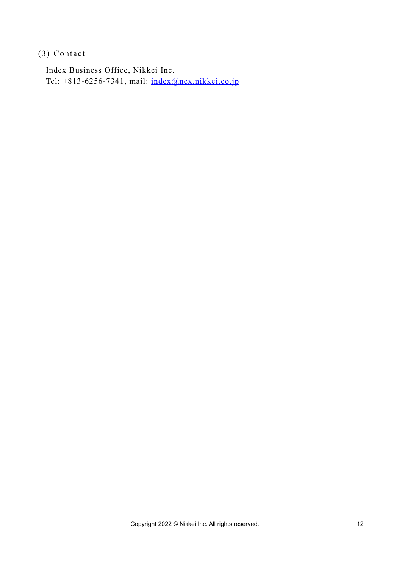$(3)$  Contact

Index Business Office, Nikkei Inc. Tel: +813-6256-7341, mail: [index@nex.nikkei.co.jp](mailto:index@nex.nikkei.co.jp)